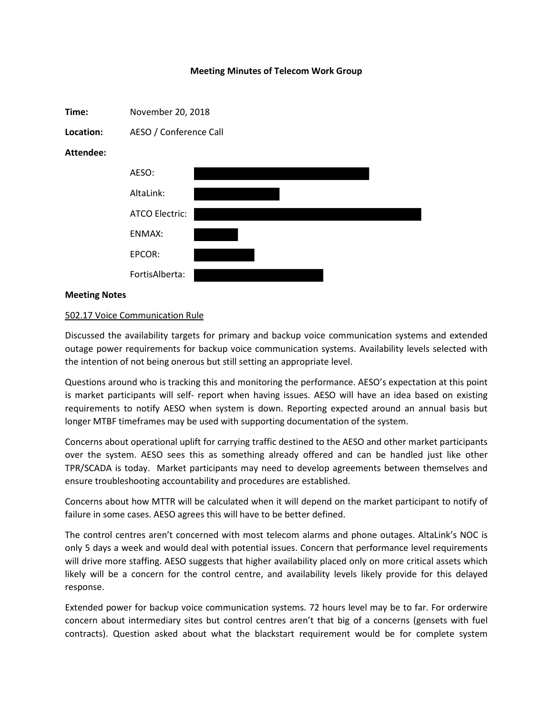## **Meeting Minutes of Telecom Work Group**



## **Meeting Notes**

## 502.17 Voice Communication Rule

Discussed the availability targets for primary and backup voice communication systems and extended outage power requirements for backup voice communication systems. Availability levels selected with the intention of not being onerous but still setting an appropriate level.

Questions around who is tracking this and monitoring the performance. AESO's expectation at this point is market participants will self- report when having issues. AESO will have an idea based on existing requirements to notify AESO when system is down. Reporting expected around an annual basis but longer MTBF timeframes may be used with supporting documentation of the system.

Concerns about operational uplift for carrying traffic destined to the AESO and other market participants over the system. AESO sees this as something already offered and can be handled just like other TPR/SCADA is today. Market participants may need to develop agreements between themselves and ensure troubleshooting accountability and procedures are established.

Concerns about how MTTR will be calculated when it will depend on the market participant to notify of failure in some cases. AESO agrees this will have to be better defined.

The control centres aren't concerned with most telecom alarms and phone outages. AltaLink's NOC is only 5 days a week and would deal with potential issues. Concern that performance level requirements will drive more staffing. AESO suggests that higher availability placed only on more critical assets which likely will be a concern for the control centre, and availability levels likely provide for this delayed response.

Extended power for backup voice communication systems. 72 hours level may be to far. For orderwire concern about intermediary sites but control centres aren't that big of a concerns (gensets with fuel contracts). Question asked about what the blackstart requirement would be for complete system